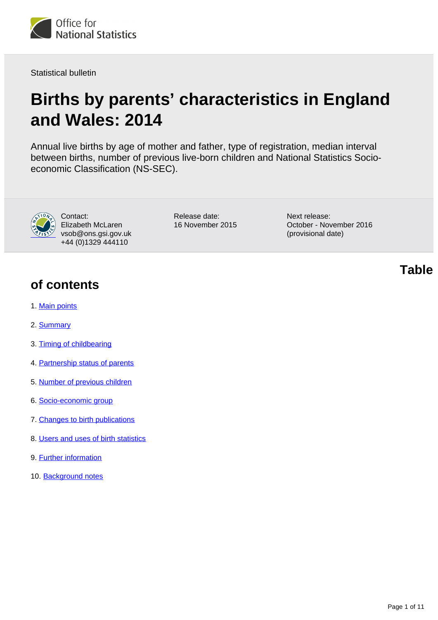

Statistical bulletin

# **Births by parents' characteristics in England and Wales: 2014**

Annual live births by age of mother and father, type of registration, median interval between births, number of previous live-born children and National Statistics Socioeconomic Classification (NS-SEC).



Contact: Elizabeth McLaren vsob@ons.gsi.gov.uk +44 (0)1329 444110

Release date: 16 November 2015 Next release: October - November 2016 (provisional date)

### **of contents**

- 1. [Main points](#page-1-0)
- 2. [Summary](#page-1-1)
- 3. [Timing of childbearing](#page-1-2)
- 4. [Partnership status of parents](#page-4-0)
- 5. [Number of previous children](#page-6-0)
- 6. [Socio-economic group](#page-7-0)
- 7. [Changes to birth publications](#page-7-1)
- 8. [Users and uses of birth statistics](#page-8-0)
- 9. Further information
- 10. Background notes

**Table**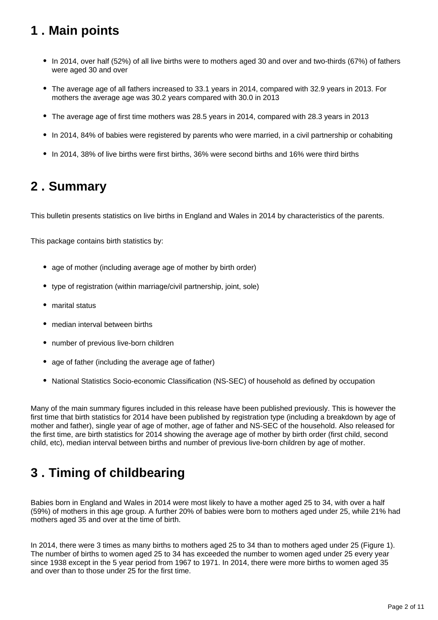# <span id="page-1-0"></span>**1 . Main points**

- In 2014, over half (52%) of all live births were to mothers aged 30 and over and two-thirds (67%) of fathers were aged 30 and over
- The average age of all fathers increased to 33.1 years in 2014, compared with 32.9 years in 2013. For mothers the average age was 30.2 years compared with 30.0 in 2013
- The average age of first time mothers was 28.5 years in 2014, compared with 28.3 years in 2013
- In 2014, 84% of babies were registered by parents who were married, in a civil partnership or cohabiting
- In 2014, 38% of live births were first births, 36% were second births and 16% were third births

### <span id="page-1-1"></span>**2 . Summary**

This bulletin presents statistics on live births in England and Wales in 2014 by characteristics of the parents.

This package contains birth statistics by:

- age of mother (including average age of mother by birth order)
- type of registration (within marriage/civil partnership, joint, sole)
- marital status
- median interval between births
- number of previous live-born children
- age of father (including the average age of father)
- National Statistics Socio-economic Classification (NS-SEC) of household as defined by occupation

Many of the main summary figures included in this release have been published previously. This is however the first time that birth statistics for 2014 have been published by registration type (including a breakdown by age of mother and father), single year of age of mother, age of father and NS-SEC of the household. Also released for the first time, are birth statistics for 2014 showing the average age of mother by birth order (first child, second child, etc), median interval between births and number of previous live-born children by age of mother.

# <span id="page-1-2"></span>**3 . Timing of childbearing**

Babies born in England and Wales in 2014 were most likely to have a mother aged 25 to 34, with over a half (59%) of mothers in this age group. A further 20% of babies were born to mothers aged under 25, while 21% had mothers aged 35 and over at the time of birth.

In 2014, there were 3 times as many births to mothers aged 25 to 34 than to mothers aged under 25 (Figure 1). The number of births to women aged 25 to 34 has exceeded the number to women aged under 25 every year since 1938 except in the 5 year period from 1967 to 1971. In 2014, there were more births to women aged 35 and over than to those under 25 for the first time.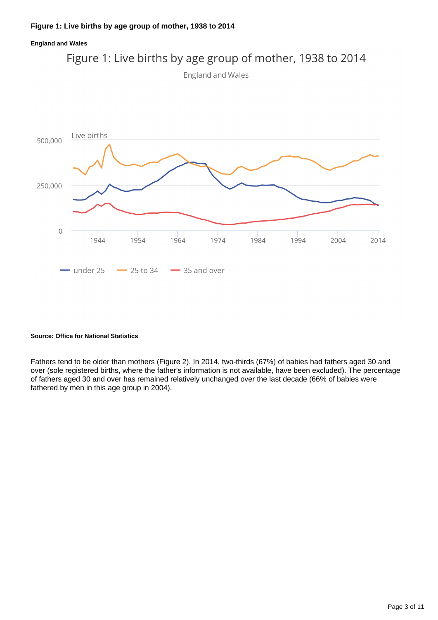

#### **Source: Office for National Statistics**

Fathers tend to be older than mothers (Figure 2). In 2014, two-thirds (67%) of babies had fathers aged 30 and over (sole registered births, where the father's information is not available, have been excluded). The percentage of fathers aged 30 and over has remained relatively unchanged over the last decade (66% of babies were fathered by men in this age group in 2004).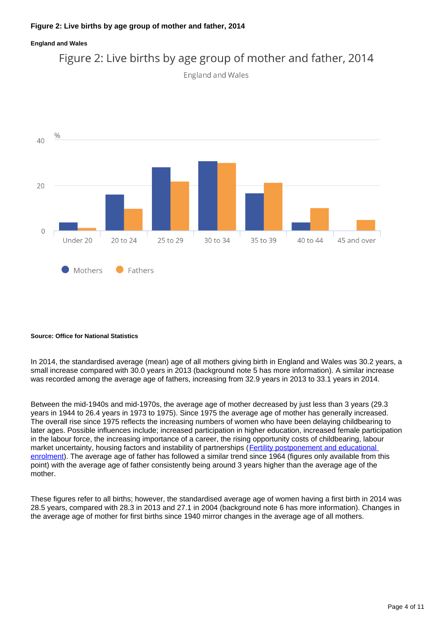

Figure 2: Live births by age group of mother and father, 2014



#### **Source: Office for National Statistics**

In 2014, the standardised average (mean) age of all mothers giving birth in England and Wales was 30.2 years, a small increase compared with 30.0 years in 2013 (background note 5 has more information). A similar increase was recorded among the average age of fathers, increasing from 32.9 years in 2013 to 33.1 years in 2014.

Between the mid-1940s and mid-1970s, the average age of mother decreased by just less than 3 years (29.3 years in 1944 to 26.4 years in 1973 to 1975). Since 1975 the average age of mother has generally increased. The overall rise since 1975 reflects the increasing numbers of women who have been delaying childbearing to later ages. Possible influences include; increased participation in higher education, increased female participation in the labour force, the increasing importance of a career, the rising opportunity costs of childbearing, labour market uncertainty, housing factors and instability of partnerships ([Fertility postponement and educational](http://www.tandfonline.com/doi/pdf/10.1080/00324728.2012.697569)  [enrolment\)](http://www.tandfonline.com/doi/pdf/10.1080/00324728.2012.697569). The average age of father has followed a similar trend since 1964 (figures only available from this point) with the average age of father consistently being around 3 years higher than the average age of the mother.

These figures refer to all births; however, the standardised average age of women having a first birth in 2014 was 28.5 years, compared with 28.3 in 2013 and 27.1 in 2004 (background note 6 has more information). Changes in the average age of mother for first births since 1940 mirror changes in the average age of all mothers.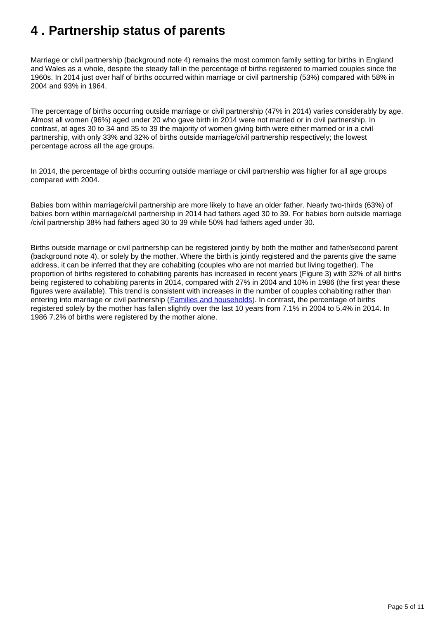# <span id="page-4-0"></span>**4 . Partnership status of parents**

Marriage or civil partnership (background note 4) remains the most common family setting for births in England and Wales as a whole, despite the steady fall in the percentage of births registered to married couples since the 1960s. In 2014 just over half of births occurred within marriage or civil partnership (53%) compared with 58% in 2004 and 93% in 1964.

The percentage of births occurring outside marriage or civil partnership (47% in 2014) varies considerably by age. Almost all women (96%) aged under 20 who gave birth in 2014 were not married or in civil partnership. In contrast, at ages 30 to 34 and 35 to 39 the majority of women giving birth were either married or in a civil partnership, with only 33% and 32% of births outside marriage/civil partnership respectively; the lowest percentage across all the age groups.

In 2014, the percentage of births occurring outside marriage or civil partnership was higher for all age groups compared with 2004.

Babies born within marriage/civil partnership are more likely to have an older father. Nearly two-thirds (63%) of babies born within marriage/civil partnership in 2014 had fathers aged 30 to 39. For babies born outside marriage /civil partnership 38% had fathers aged 30 to 39 while 50% had fathers aged under 30.

Births outside marriage or civil partnership can be registered jointly by both the mother and father/second parent (background note 4), or solely by the mother. Where the birth is jointly registered and the parents give the same address, it can be inferred that they are cohabiting (couples who are not married but living together). The proportion of births registered to cohabiting parents has increased in recent years (Figure 3) with 32% of all births being registered to cohabiting parents in 2014, compared with 27% in 2004 and 10% in 1986 (the first year these figures were available). This trend is consistent with increases in the number of couples cohabiting rather than entering into marriage or civil partnership (**Families and households**). In contrast, the percentage of births registered solely by the mother has fallen slightly over the last 10 years from 7.1% in 2004 to 5.4% in 2014. In 1986 7.2% of births were registered by the mother alone.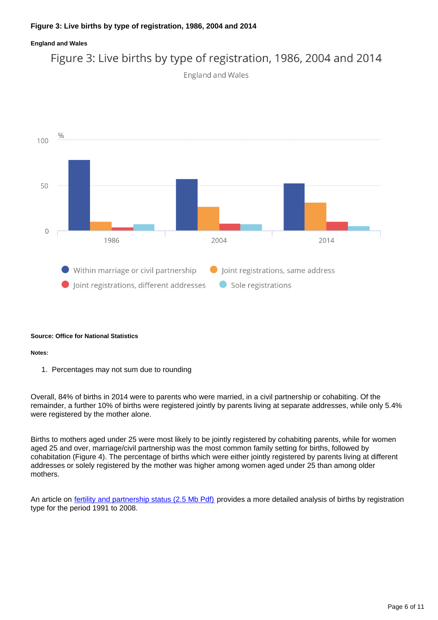### Figure 3: Live births by type of registration, 1986, 2004 and 2014

England and Wales



#### **Source: Office for National Statistics**

#### **Notes:**

1. Percentages may not sum due to rounding

Overall, 84% of births in 2014 were to parents who were married, in a civil partnership or cohabiting. Of the remainder, a further 10% of births were registered jointly by parents living at separate addresses, while only 5.4% were registered by the mother alone.

Births to mothers aged under 25 were most likely to be jointly registered by cohabiting parents, while for women aged 25 and over, marriage/civil partnership was the most common family setting for births, followed by cohabitation (Figure 4). The percentage of births which were either jointly registered by parents living at different addresses or solely registered by the mother was higher among women aged under 25 than among older mothers.

An article on [fertility and partnership status \(2.5 Mb Pdf\)](http://www.ons.gov.uk/ons/rel/population-trends-rd/population-trends/no--140--summer-2010/population-trends---no--140.pdf) provides a more detailed analysis of births by registration type for the period 1991 to 2008.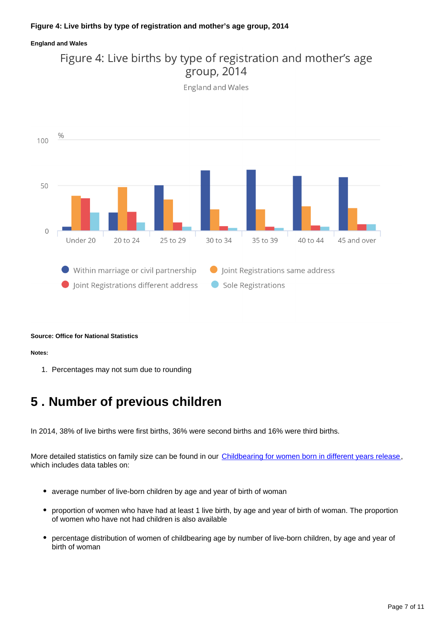





#### **Source: Office for National Statistics**

#### **Notes:**

1. Percentages may not sum due to rounding

### <span id="page-6-0"></span>**5 . Number of previous children**

In 2014, 38% of live births were first births, 36% were second births and 16% were third births.

More detailed statistics on family size can be found in our [Childbearing for women born in different years release](http://www.ons.gov.uk/ons/rel/fertility-analysis/childbearing-for-women-born-in-different-years/2014/index.html), which includes data tables on:

- average number of live-born children by age and year of birth of woman
- proportion of women who have had at least 1 live birth, by age and year of birth of woman. The proportion of women who have not had children is also available
- percentage distribution of women of childbearing age by number of live-born children, by age and year of birth of woman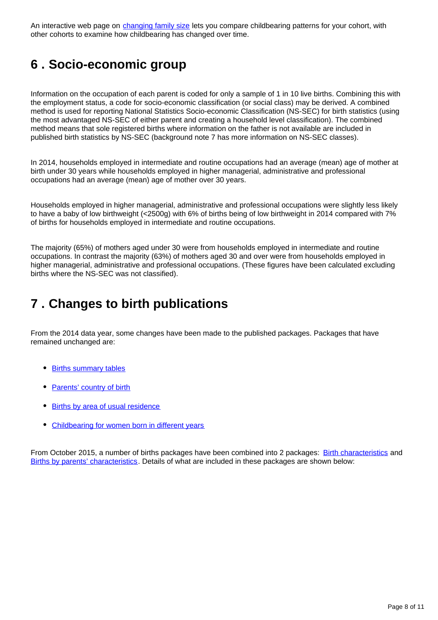An interactive web page on [changing family size](http://www.neighbourhood.statistics.gov.uk/HTMLDocs/dvc211/index.html) lets you compare childbearing patterns for your cohort, with other cohorts to examine how childbearing has changed over time.

# <span id="page-7-0"></span>**6 . Socio-economic group**

Information on the occupation of each parent is coded for only a sample of 1 in 10 live births. Combining this with the employment status, a code for socio-economic classification (or social class) may be derived. A combined method is used for reporting National Statistics Socio-economic Classification (NS-SEC) for birth statistics (using the most advantaged NS-SEC of either parent and creating a household level classification). The combined method means that sole registered births where information on the father is not available are included in published birth statistics by NS-SEC (background note 7 has more information on NS-SEC classes).

In 2014, households employed in intermediate and routine occupations had an average (mean) age of mother at birth under 30 years while households employed in higher managerial, administrative and professional occupations had an average (mean) age of mother over 30 years.

Households employed in higher managerial, administrative and professional occupations were slightly less likely to have a baby of low birthweight (<2500g) with 6% of births being of low birthweight in 2014 compared with 7% of births for households employed in intermediate and routine occupations.

The majority (65%) of mothers aged under 30 were from households employed in intermediate and routine occupations. In contrast the majority (63%) of mothers aged 30 and over were from households employed in higher managerial, administrative and professional occupations. (These figures have been calculated excluding births where the NS-SEC was not classified).

### <span id="page-7-1"></span>**7 . Changes to birth publications**

From the 2014 data year, some changes have been made to the published packages. Packages that have remained unchanged are:

- [Births summary tables](http://www.ons.gov.uk/ons/rel/vsob1/birth-summary-tables--england-and-wales/index.html)
- [Parents' country of birth](http://www.ons.gov.uk/ons/rel/vsob1/parents--country-of-birth--england-and-wales/index.html)
- [Births by area of usual residence](http://www.ons.gov.uk/ons/rel/vsob1/births-by-area-of-usual-residence-of-mother--england-and-wales/index.html)
- [Childbearing for women born in different years](http://www.ons.gov.uk/ons/rel/fertility-analysis/childbearing-for-women-born-in-different-years/index.html)

From October 2015, a number of births packages have been combined into 2 packages: [Birth characteristics](http://www.ons.gov.uk/ons/rel/vsob1/birth-characteristics-in-england-and-wales/index.html) and [Births by parents' characteristics.](http://www.ons.gov.uk/ons/rel/vsob1/births-by-parents--characteristics-in-england-and-wales/index.html) Details of what are included in these packages are shown below: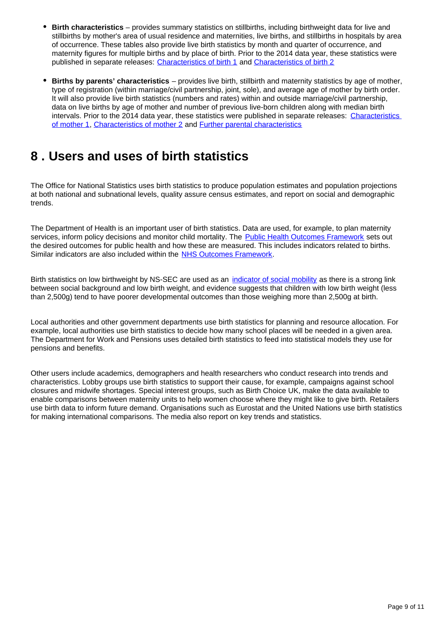- **Birth characteristics** provides summary statistics on stillbirths, including birthweight data for live and stillbirths by mother's area of usual residence and maternities, live births, and stillbirths in hospitals by area of occurrence. These tables also provide live birth statistics by month and quarter of occurrence, and maternity figures for multiple births and by place of birth. Prior to the 2014 data year, these statistics were published in separate releases: [Characteristics of birth 1](http://www.ons.gov.uk/ons/rel/vsob1/characteristics-of-birth-1--england-and-wales/index.html) and [Characteristics of birth 2](http://www.ons.gov.uk/ons/rel/vsob1/characteristics-of-birth-2--england-and-wales/index.html)
- **Births by parents' characteristics** provides live birth, stillbirth and maternity statistics by age of mother, type of registration (within marriage/civil partnership, joint, sole), and average age of mother by birth order. It will also provide live birth statistics (numbers and rates) within and outside marriage/civil partnership, data on live births by age of mother and number of previous live-born children along with median birth intervals. Prior to the 2014 data year, these statistics were published in separate releases: [Characteristics](http://www.ons.gov.uk/ons/rel/vsob1/characteristics-of-Mother-1--england-and-wales/index.html)  [of mother 1,](http://www.ons.gov.uk/ons/rel/vsob1/characteristics-of-Mother-1--england-and-wales/index.html) [Characteristics of mother 2](http://www.ons.gov.uk/ons/rel/vsob1/characteristics-of-mother-2--england-and-wales/index.html) and [Further parental characteristics](http://www.ons.gov.uk/ons/rel/vsob1/further-parental-characteristics--england-and-wales/index.html)

### <span id="page-8-0"></span>**8 . Users and uses of birth statistics**

The Office for National Statistics uses birth statistics to produce population estimates and population projections at both national and subnational levels, quality assure census estimates, and report on social and demographic trends.

The Department of Health is an important user of birth statistics. Data are used, for example, to plan maternity services, inform policy decisions and monitor child mortality. The [Public Health Outcomes Framework](http://www.neighbourhood.statistics.gov.uk/HTMLDocs/dvc211/index.html) sets out the desired outcomes for public health and how these are measured. This includes indicators related to births. Similar indicators are also included within the [NHS Outcomes Framework](https://www.gov.uk/government/publications/nhs-outcomes-framework-2012-to-2013).

Birth statistics on low birthweight by NS-SEC are used as an [indicator of social mobility](https://www.gov.uk/government/publications/social-mobility-indicators) as there is a strong link between social background and low birth weight, and evidence suggests that children with low birth weight (less than 2,500g) tend to have poorer developmental outcomes than those weighing more than 2,500g at birth.

Local authorities and other government departments use birth statistics for planning and resource allocation. For example, local authorities use birth statistics to decide how many school places will be needed in a given area. The Department for Work and Pensions uses detailed birth statistics to feed into statistical models they use for pensions and benefits.

Other users include academics, demographers and health researchers who conduct research into trends and characteristics. Lobby groups use birth statistics to support their cause, for example, campaigns against school closures and midwife shortages. Special interest groups, such as Birth Choice UK, make the data available to enable comparisons between maternity units to help women choose where they might like to give birth. Retailers use birth data to inform future demand. Organisations such as Eurostat and the United Nations use birth statistics for making international comparisons. The media also report on key trends and statistics.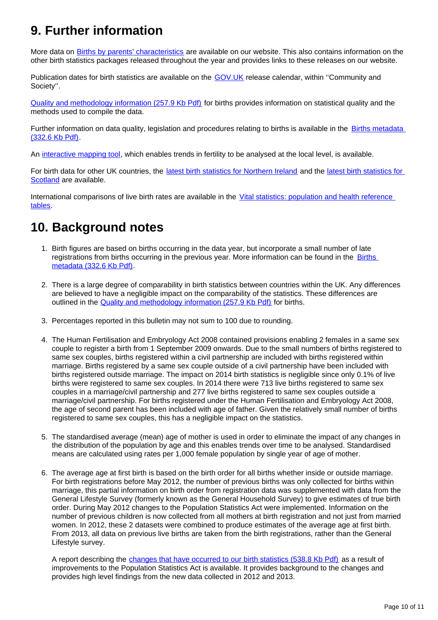# **9. Further information**

More data on [Births by parents' characteristics](http://www.ons.gov.uk/ons/publications/re-reference-tables.html?edition=tcm%3A77-401566) are available on our website. This also contains information on the other birth statistics packages released throughout the year and provides links to these releases on our website.

Publication dates for birth statistics are available on the [GOV.UK](https://www.gov.uk/government/statistics/announcements) release calendar, within ''Community and Society''.

[Quality and methodology information \(257.9 Kb Pdf\)](http://www.ons.gov.uk/ons/guide-method/method-quality/quality/quality-information/population/quality-and-methodology-information-for-birth-statistics.pdf) for births provides information on statistical quality and the methods used to compile the data.

Further information on data quality, legislation and procedures relating to births is available in the Births metadata [\(332.6 Kb Pdf\)](http://www.ons.gov.uk/ons/guide-method/user-guidance/health-and-life-events/births-metadata.pdf).

An [interactive mapping tool,](http://www.neighbourhood.statistics.gov.uk/HTMLDocs/dvc170/index.html) which enables trends in fertility to be analysed at the local level, is available.

For birth data for other UK countries, the [latest birth statistics for Northern Ireland](http://www.nisra.gov.uk/demography/default.asp8.htm) and the [latest birth statistics for](http://www.gro-scotland.gov.uk/statistics-and-data/statistics/statistics-by-theme/vital-events/births)  [Scotland](http://www.gro-scotland.gov.uk/statistics-and-data/statistics/statistics-by-theme/vital-events/births) are available.

International comparisons of live birth rates are available in the Vital statistics: population and health reference [tables.](http://www.ons.gov.uk/ons/rel/vsob1/vital-statistics--population-and-health-reference-tables/index.html)

### **10. Background notes**

- 1. Birth figures are based on births occurring in the data year, but incorporate a small number of late registrations from births occurring in the previous year. More information can be found in the Births [metadata \(332.6 Kb Pdf\).](http://www.ons.gov.uk/ons/guide-method/user-guidance/health-and-life-events/births-metadata.pdf)
- 2. There is a large degree of comparability in birth statistics between countries within the UK. Any differences are believed to have a negligible impact on the comparability of the statistics. These differences are outlined in the **Quality and methodology information (257.9 Kb Pdf)** for births.
- 3. Percentages reported in this bulletin may not sum to 100 due to rounding.
- 4. The Human Fertilisation and Embryology Act 2008 contained provisions enabling 2 females in a same sex couple to register a birth from 1 September 2009 onwards. Due to the small numbers of births registered to same sex couples, births registered within a civil partnership are included with births registered within marriage. Births registered by a same sex couple outside of a civil partnership have been included with births registered outside marriage. The impact on 2014 birth statistics is negligible since only 0.1% of live births were registered to same sex couples. In 2014 there were 713 live births registered to same sex couples in a marriage/civil partnership and 277 live births registered to same sex couples outside a marriage/civil partnership. For births registered under the Human Fertilisation and Embryology Act 2008, the age of second parent has been included with age of father. Given the relatively small number of births registered to same sex couples, this has a negligible impact on the statistics.
- 5. The standardised average (mean) age of mother is used in order to eliminate the impact of any changes in the distribution of the population by age and this enables trends over time to be analysed. Standardised means are calculated using rates per 1,000 female population by single year of age of mother.
- 6. The average age at first birth is based on the birth order for all births whether inside or outside marriage. For birth registrations before May 2012, the number of previous births was only collected for births within marriage, this partial information on birth order from registration data was supplemented with data from the General Lifestyle Survey (formerly known as the General Household Survey) to give estimates of true birth order. During May 2012 changes to the Population Statistics Act were implemented. Information on the number of previous children is now collected from all mothers at birth registration and not just from married women. In 2012, these 2 datasets were combined to produce estimates of the average age at first birth. From 2013, all data on previous live births are taken from the birth registrations, rather than the General Lifestyle survey.

A report describing the [changes that have occurred to our birth statistics \(538.8 Kb Pdf\)](http://www.ons.gov.uk/ons/guide-method/user-guidance/health-and-life-events/quality-assurance-of-new-data-on-birth-registrations.pdf) as a result of improvements to the Population Statistics Act is available. It provides background to the changes and provides high level findings from the new data collected in 2012 and 2013.